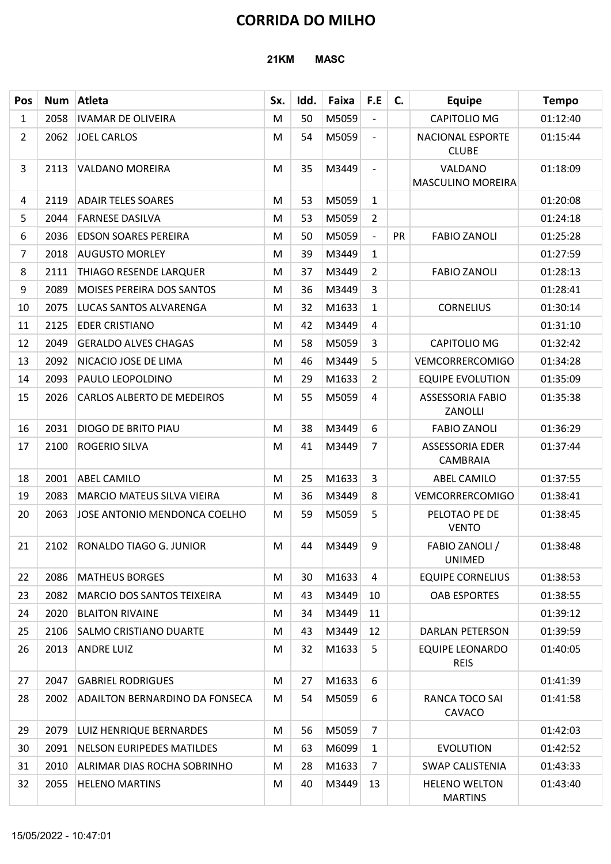# CORRIDA DO MILHO

|                |      |                                       | <b>21KM</b> |      | <b>CORRIDA DO MILHO</b><br><b>MASC</b> |                          |    |                                        |              |
|----------------|------|---------------------------------------|-------------|------|----------------------------------------|--------------------------|----|----------------------------------------|--------------|
| Pos            |      | Num Atleta                            | Sx.         | Idd. | Faixa                                  | F.E                      | C. | <b>Equipe</b>                          | <b>Tempo</b> |
| $\mathbf{1}$   | 2058 | <b>IVAMAR DE OLIVEIRA</b>             | M           | 50   | M5059                                  | $\overline{\phantom{a}}$ |    | CAPITOLIO MG                           | 01:12:40     |
| $2^{\circ}$    | 2062 | <b>JOEL CARLOS</b>                    | M           | 54   | M5059                                  | $\overline{\phantom{a}}$ |    | NACIONAL ESPORTE<br><b>CLUBE</b>       | 01:15:44     |
| $\mathbf{3}$   | 2113 | <b>VALDANO MOREIRA</b>                | M           | 35   | M3449                                  | $\overline{\phantom{a}}$ |    | VALDANO<br>MASCULINO MOREIRA           | 01:18:09     |
| 4              | 2119 | <b>ADAIR TELES SOARES</b>             | M           | 53   | M5059                                  | $\mathbf{1}$             |    |                                        | 01:20:08     |
| 5              | 2044 | <b>FARNESE DASILVA</b>                | M           | 53   | M5059                                  | $\overline{2}$           |    |                                        | 01:24:18     |
| 6              | 2036 | <b>EDSON SOARES PEREIRA</b>           | M           | 50   | M5059                                  |                          | PR | <b>FABIO ZANOLI</b>                    | 01:25:28     |
| $\overline{7}$ | 2018 | <b>AUGUSTO MORLEY</b>                 | M           | 39   | M3449                                  | $\mathbf{1}$             |    |                                        | 01:27:59     |
| 8              | 2111 | THIAGO RESENDE LARQUER                | M           | 37   | M3449                                  | $\overline{2}$           |    | <b>FABIO ZANOLI</b>                    | 01:28:13     |
| 9              | 2089 | MOISES PEREIRA DOS SANTOS             | M           | 36   | M3449                                  | 3                        |    |                                        | 01:28:41     |
| 10             | 2075 | LUCAS SANTOS ALVARENGA                | M           | 32   | M1633                                  | $\mathbf{1}$             |    | <b>CORNELIUS</b>                       | 01:30:14     |
| 11             | 2125 | <b>EDER CRISTIANO</b>                 | M           | 42   | M3449                                  | 4                        |    |                                        | 01:31:10     |
| 12             | 2049 | <b>GERALDO ALVES CHAGAS</b>           | M           | 58   | M5059                                  | 3                        |    | <b>CAPITOLIO MG</b>                    | 01:32:42     |
| 13             | 2092 | NICACIO JOSE DE LIMA                  | M           | 46   | M3449                                  | 5                        |    | <b>VEMCORRERCOMIGO</b>                 | 01:34:28     |
| 14             | 2093 | PAULO LEOPOLDINO                      | M           | 29   | M1633                                  | $\overline{2}$           |    | <b>EQUIPE EVOLUTION</b>                | 01:35:09     |
| 15             | 2026 | CARLOS ALBERTO DE MEDEIROS            | M           | 55   | M5059                                  | 4                        |    | <b>ASSESSORIA FABIO</b><br>ZANOLLI     | 01:35:38     |
| 16             | 2031 | <b>DIOGO DE BRITO PIAU</b>            | M           | 38   | M3449                                  | 6                        |    | <b>FABIO ZANOLI</b>                    | 01:36:29     |
| 17             | 2100 | <b>ROGERIO SILVA</b>                  | M           | 41   | M3449                                  | $\overline{7}$           |    | <b>ASSESSORIA EDER</b><br>CAMBRAIA     | 01:37:44     |
| 18             | 2001 | <b>ABEL CAMILO</b>                    | M           | 25   | M1633                                  | 3                        |    | <b>ABEL CAMILO</b>                     | 01:37:55     |
| 19             | 2083 | <b>MARCIO MATEUS SILVA VIEIRA</b>     | M           | 36   | M3449                                  | 8                        |    | VEMCORRERCOMIGO                        | 01:38:41     |
| 20             | 2063 | JOSE ANTONIO MENDONCA COELHO          | M           | 59   | M5059                                  | 5                        |    | PELOTAO PE DE<br><b>VENTO</b>          | 01:38:45     |
| 21             | 2102 | RONALDO TIAGO G. JUNIOR               | M           | 44   | M3449                                  | 9                        |    | FABIO ZANOLI /<br><b>UNIMED</b>        | 01:38:48     |
| 22             | 2086 | <b>MATHEUS BORGES</b>                 | M           | 30   | M1633                                  | 4                        |    | <b>EQUIPE CORNELIUS</b>                | 01:38:53     |
| 23             | 2082 | <b>MARCIO DOS SANTOS TEIXEIRA</b>     | M           | 43   | M3449                                  | 10                       |    | <b>OAB ESPORTES</b>                    | 01:38:55     |
| 24             | 2020 | <b>BLAITON RIVAINE</b>                | M           | 34   | M3449                                  | 11                       |    |                                        | 01:39:12     |
| 25             | 2106 | <b>SALMO CRISTIANO DUARTE</b>         | M           | 43   | M3449                                  | 12                       |    | <b>DARLAN PETERSON</b>                 | 01:39:59     |
| 26             | 2013 | <b>ANDRE LUIZ</b>                     | M           | 32   | M1633                                  | 5                        |    | <b>EQUIPE LEONARDO</b><br><b>REIS</b>  | 01:40:05     |
| 27             | 2047 | <b>GABRIEL RODRIGUES</b>              | M           | 27   | M1633                                  | 6                        |    |                                        | 01:41:39     |
| 28             | 2002 | <b>ADAILTON BERNARDINO DA FONSECA</b> | M           | 54   | M5059                                  | 6                        |    | RANCA TOCO SAI<br>CAVACO               | 01:41:58     |
| 29             | 2079 | LUIZ HENRIQUE BERNARDES               | M           | 56   | M5059                                  | $\overline{7}$           |    |                                        | 01:42:03     |
| 30             | 2091 | <b>NELSON EURIPEDES MATILDES</b>      | M           | 63   | M6099                                  | $\mathbf{1}$             |    | <b>EVOLUTION</b>                       | 01:42:52     |
| 31             |      | 2010 ALRIMAR DIAS ROCHA SOBRINHO      | M           | 28   | M1633                                  | $\overline{7}$           |    | <b>SWAP CALISTENIA</b>                 | 01:43:33     |
| 32             | 2055 | <b>HELENO MARTINS</b>                 | M           | 40   | M3449                                  | 13                       |    | <b>HELENO WELTON</b><br><b>MARTINS</b> | 01:43:40     |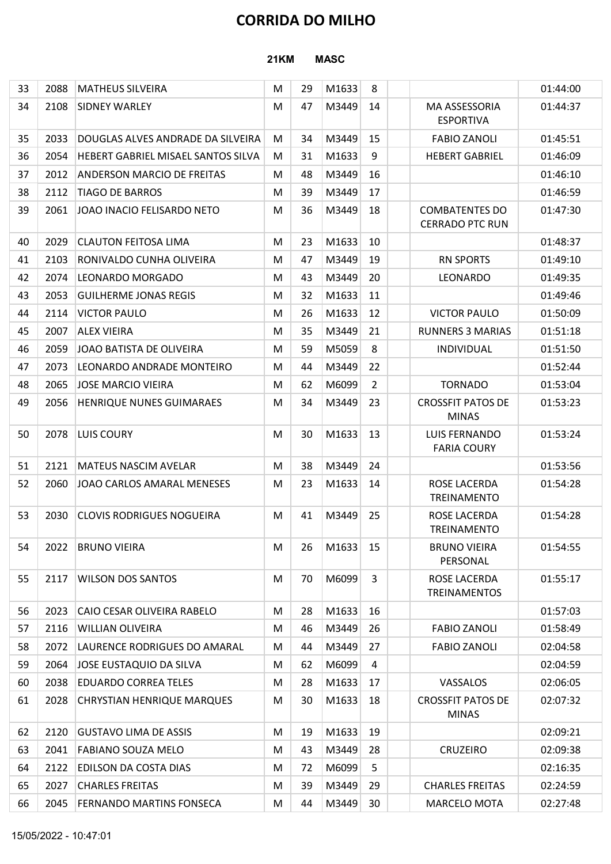## CORRIDA DO MILHO

#### 21KM MASC

|    |      |                                    |             |    | <b>CORRIDA DO MILHO</b> |                |                                                 |          |
|----|------|------------------------------------|-------------|----|-------------------------|----------------|-------------------------------------------------|----------|
|    |      |                                    | <b>21KM</b> |    | <b>MASC</b>             |                |                                                 |          |
| 33 | 2088 | <b>MATHEUS SILVEIRA</b>            | M           | 29 | M1633                   | 8              |                                                 | 01:44:00 |
| 34 | 2108 | <b>SIDNEY WARLEY</b>               | M           | 47 | M3449                   | 14             | MA ASSESSORIA<br><b>ESPORTIVA</b>               | 01:44:37 |
| 35 | 2033 | DOUGLAS ALVES ANDRADE DA SILVEIRA  | M           | 34 | M3449                   | 15             | <b>FABIO ZANOLI</b>                             | 01:45:51 |
| 36 | 2054 | HEBERT GABRIEL MISAEL SANTOS SILVA | M           | 31 | M1633                   | 9              | <b>HEBERT GABRIEL</b>                           | 01:46:09 |
| 37 | 2012 | <b>ANDERSON MARCIO DE FREITAS</b>  | M           | 48 | M3449                   | 16             |                                                 | 01:46:10 |
| 38 | 2112 | <b>TIAGO DE BARROS</b>             | M           | 39 | M3449                   | 17             |                                                 | 01:46:59 |
| 39 | 2061 | JOAO INACIO FELISARDO NETO         | M           | 36 | M3449                   | 18             | <b>COMBATENTES DO</b><br><b>CERRADO PTC RUN</b> | 01:47:30 |
| 40 | 2029 | <b>CLAUTON FEITOSA LIMA</b>        | M           | 23 | M1633                   | 10             |                                                 | 01:48:37 |
| 41 | 2103 | RONIVALDO CUNHA OLIVEIRA           | M           | 47 | M3449                   | 19             | <b>RN SPORTS</b>                                | 01:49:10 |
| 42 | 2074 | LEONARDO MORGADO                   | M           | 43 | M3449                   | 20             | LEONARDO                                        | 01:49:35 |
| 43 | 2053 | <b>GUILHERME JONAS REGIS</b>       | M           | 32 | M1633                   | 11             |                                                 | 01:49:46 |
| 44 | 2114 | <b>VICTOR PAULO</b>                | M           | 26 | M1633                   | 12             | <b>VICTOR PAULO</b>                             | 01:50:09 |
| 45 | 2007 | <b>ALEX VIEIRA</b>                 | M           | 35 | M3449                   | 21             | <b>RUNNERS 3 MARIAS</b>                         | 01:51:18 |
| 46 | 2059 | JOAO BATISTA DE OLIVEIRA           | M           | 59 | M5059                   | 8              | INDIVIDUAL                                      | 01:51:50 |
| 47 | 2073 | LEONARDO ANDRADE MONTEIRO          | M           | 44 | M3449                   | 22             |                                                 | 01:52:44 |
| 48 | 2065 | <b>JOSE MARCIO VIEIRA</b>          | M           | 62 | M6099                   | $\overline{2}$ | <b>TORNADO</b>                                  | 01:53:04 |
| 49 | 2056 | <b>HENRIQUE NUNES GUIMARAES</b>    | M           | 34 | M3449                   | 23             | <b>CROSSFIT PATOS DE</b><br><b>MINAS</b>        | 01:53:23 |
| 50 | 2078 | LUIS COURY                         | M           | 30 | $M1633$ 13              |                | <b>LUIS FERNANDO</b><br><b>FARIA COURY</b>      | 01:53:24 |
| 51 | 2121 | <b>MATEUS NASCIM AVELAR</b>        | M           | 38 | M3449                   | 24             |                                                 | 01:53:56 |
| 52 | 2060 | JOAO CARLOS AMARAL MENESES         | M           | 23 | M1633                   | 14             | ROSE LACERDA<br>TREINAMENTO                     | 01:54:28 |
| 53 | 2030 | <b>CLOVIS RODRIGUES NOGUEIRA</b>   | M           | 41 | M3449                   | 25             | ROSE LACERDA<br>TREINAMENTO                     | 01:54:28 |
| 54 | 2022 | <b>BRUNO VIEIRA</b>                | M           | 26 | M1633                   | 15             | <b>BRUNO VIEIRA</b><br>PERSONAL                 | 01:54:55 |
| 55 | 2117 | <b>WILSON DOS SANTOS</b>           | M           | 70 | M6099                   | -3             | ROSE LACERDA<br><b>TREINAMENTOS</b>             | 01:55:17 |
| 56 | 2023 | CAIO CESAR OLIVEIRA RABELO         | M           | 28 | M1633                   | 16             |                                                 | 01:57:03 |
| 57 | 2116 | <b>WILLIAN OLIVEIRA</b>            | M           | 46 | M3449                   | 26             | <b>FABIO ZANOLI</b>                             | 01:58:49 |
| 58 | 2072 | LAURENCE RODRIGUES DO AMARAL       | M           | 44 | M3449                   | 27             | <b>FABIO ZANOLI</b>                             | 02:04:58 |
| 59 | 2064 | JOSE EUSTAQUIO DA SILVA            | M           | 62 | M6099                   | 4              |                                                 | 02:04:59 |
| 60 | 2038 | <b>EDUARDO CORREA TELES</b>        | M           | 28 | M1633                   | 17             | VASSALOS                                        | 02:06:05 |
| 61 | 2028 | <b>CHRYSTIAN HENRIQUE MARQUES</b>  | M           | 30 | M1633                   | 18             | <b>CROSSFIT PATOS DE</b><br><b>MINAS</b>        | 02:07:32 |
| 62 | 2120 | <b>GUSTAVO LIMA DE ASSIS</b>       | M           | 19 | M1633                   | 19             |                                                 | 02:09:21 |
| 63 | 2041 | FABIANO SOUZA MELO                 | M           | 43 | M3449                   | 28             | <b>CRUZEIRO</b>                                 | 02:09:38 |
| 64 | 2122 | <b>EDILSON DA COSTA DIAS</b>       | M           | 72 | M6099                   | 5              |                                                 | 02:16:35 |
| 65 | 2027 | <b>CHARLES FREITAS</b>             | M           | 39 | M3449                   | 29             | <b>CHARLES FREITAS</b>                          | 02:24:59 |
| 66 |      | 2045 FERNANDO MARTINS FONSECA      | M           | 44 | M3449                   | 30             | MARCELO MOTA                                    | 02:27:48 |